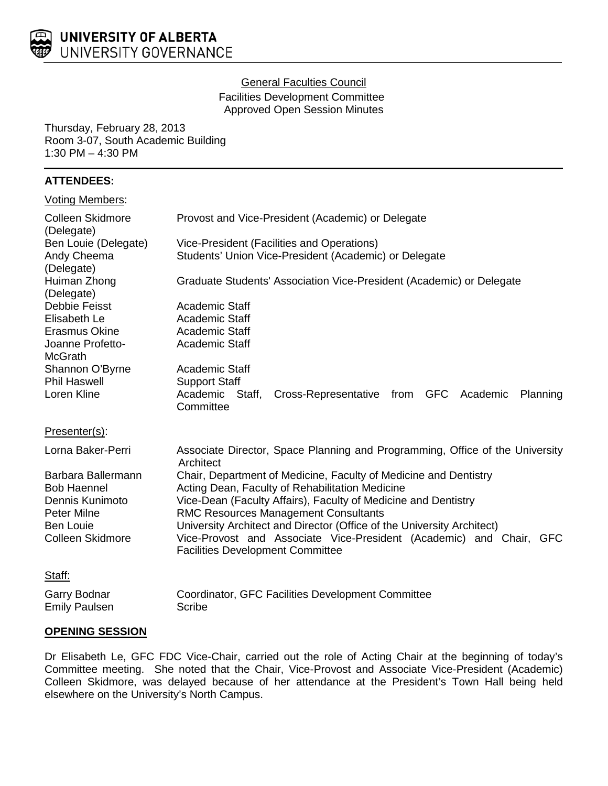

#### General Faculties Council

Facilities Development Committee Approved Open Session Minutes

Thursday, February 28, 2013 Room 3-07, South Academic Building 1:30 PM – 4:30 PM

# **ATTENDEES:**

|  |  | <b>Voting Members:</b> |
|--|--|------------------------|
|--|--|------------------------|

| <b>Colleen Skidmore</b><br>(Delegate)                                                                                     | Provost and Vice-President (Academic) or Delegate                                                                                                                                                                                                                                                                                                                                                                                |
|---------------------------------------------------------------------------------------------------------------------------|----------------------------------------------------------------------------------------------------------------------------------------------------------------------------------------------------------------------------------------------------------------------------------------------------------------------------------------------------------------------------------------------------------------------------------|
| Ben Louie (Delegate)<br>Andy Cheema<br>(Delegate)                                                                         | Vice-President (Facilities and Operations)<br>Students' Union Vice-President (Academic) or Delegate                                                                                                                                                                                                                                                                                                                              |
| Huiman Zhong<br>(Delegate)                                                                                                | Graduate Students' Association Vice-President (Academic) or Delegate                                                                                                                                                                                                                                                                                                                                                             |
| Debbie Feisst<br>Elisabeth Le<br>Erasmus Okine<br>Joanne Profetto-<br><b>McGrath</b>                                      | <b>Academic Staff</b><br><b>Academic Staff</b><br>Academic Staff<br>Academic Staff                                                                                                                                                                                                                                                                                                                                               |
| Shannon O'Byrne<br><b>Phil Haswell</b><br>Loren Kline                                                                     | <b>Academic Staff</b><br><b>Support Staff</b><br>Academic Staff,<br>from GFC Academic<br>Cross-Representative<br>Planning<br>Committee                                                                                                                                                                                                                                                                                           |
| Presenter(s):                                                                                                             |                                                                                                                                                                                                                                                                                                                                                                                                                                  |
| Lorna Baker-Perri                                                                                                         | Associate Director, Space Planning and Programming, Office of the University<br>Architect                                                                                                                                                                                                                                                                                                                                        |
| Barbara Ballermann<br><b>Bob Haennel</b><br>Dennis Kunimoto<br>Peter Milne<br><b>Ben Louie</b><br><b>Colleen Skidmore</b> | Chair, Department of Medicine, Faculty of Medicine and Dentistry<br>Acting Dean, Faculty of Rehabilitation Medicine<br>Vice-Dean (Faculty Affairs), Faculty of Medicine and Dentistry<br><b>RMC Resources Management Consultants</b><br>University Architect and Director (Office of the University Architect)<br>Vice-Provost and Associate Vice-President (Academic) and Chair, GFC<br><b>Facilities Development Committee</b> |
| Staff:                                                                                                                    |                                                                                                                                                                                                                                                                                                                                                                                                                                  |
| Garry Bodnar<br><b>Emily Paulsen</b>                                                                                      | Coordinator, GFC Facilities Development Committee<br>Scribe                                                                                                                                                                                                                                                                                                                                                                      |

## **OPENING SESSION**

Dr Elisabeth Le, GFC FDC Vice-Chair, carried out the role of Acting Chair at the beginning of today's Committee meeting. She noted that the Chair, Vice-Provost and Associate Vice-President (Academic) Colleen Skidmore, was delayed because of her attendance at the President's Town Hall being held elsewhere on the University's North Campus.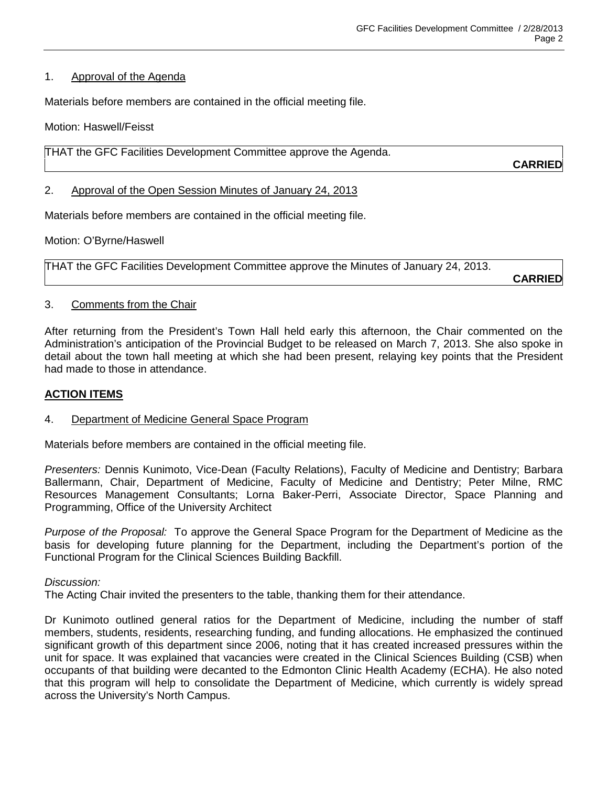#### 1. Approval of the Agenda

Materials before members are contained in the official meeting file.

Motion: Haswell/Feisst

THAT the GFC Facilities Development Committee approve the Agenda.

**CARRIED**

### 2. Approval of the Open Session Minutes of January 24, 2013

Materials before members are contained in the official meeting file.

Motion: O'Byrne/Haswell

THAT the GFC Facilities Development Committee approve the Minutes of January 24, 2013.

**CARRIED**

### 3. Comments from the Chair

After returning from the President's Town Hall held early this afternoon, the Chair commented on the Administration's anticipation of the Provincial Budget to be released on March 7, 2013. She also spoke in detail about the town hall meeting at which she had been present, relaying key points that the President had made to those in attendance.

#### **ACTION ITEMS**

## 4. Department of Medicine General Space Program

Materials before members are contained in the official meeting file.

*Presenters:* Dennis Kunimoto, Vice-Dean (Faculty Relations), Faculty of Medicine and Dentistry; Barbara Ballermann, Chair, Department of Medicine, Faculty of Medicine and Dentistry; Peter Milne, RMC Resources Management Consultants; Lorna Baker-Perri, Associate Director, Space Planning and Programming, Office of the University Architect

*Purpose of the Proposal:* To approve the General Space Program for the Department of Medicine as the basis for developing future planning for the Department, including the Department's portion of the Functional Program for the Clinical Sciences Building Backfill.

#### *Discussion:*

The Acting Chair invited the presenters to the table, thanking them for their attendance.

Dr Kunimoto outlined general ratios for the Department of Medicine, including the number of staff members, students, residents, researching funding, and funding allocations. He emphasized the continued significant growth of this department since 2006, noting that it has created increased pressures within the unit for space. It was explained that vacancies were created in the Clinical Sciences Building (CSB) when occupants of that building were decanted to the Edmonton Clinic Health Academy (ECHA). He also noted that this program will help to consolidate the Department of Medicine, which currently is widely spread across the University's North Campus.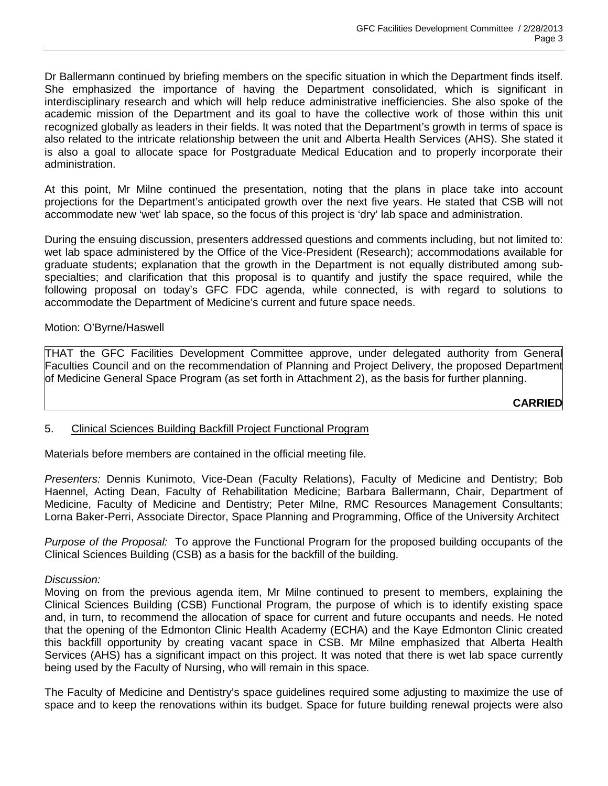Dr Ballermann continued by briefing members on the specific situation in which the Department finds itself. She emphasized the importance of having the Department consolidated, which is significant in interdisciplinary research and which will help reduce administrative inefficiencies. She also spoke of the academic mission of the Department and its goal to have the collective work of those within this unit recognized globally as leaders in their fields. It was noted that the Department's growth in terms of space is also related to the intricate relationship between the unit and Alberta Health Services (AHS). She stated it is also a goal to allocate space for Postgraduate Medical Education and to properly incorporate their administration.

At this point, Mr Milne continued the presentation, noting that the plans in place take into account projections for the Department's anticipated growth over the next five years. He stated that CSB will not accommodate new 'wet' lab space, so the focus of this project is 'dry' lab space and administration.

During the ensuing discussion, presenters addressed questions and comments including, but not limited to: wet lab space administered by the Office of the Vice-President (Research); accommodations available for graduate students; explanation that the growth in the Department is not equally distributed among subspecialties; and clarification that this proposal is to quantify and justify the space required, while the following proposal on today's GFC FDC agenda, while connected, is with regard to solutions to accommodate the Department of Medicine's current and future space needs.

### Motion: O'Byrne/Haswell

THAT the GFC Facilities Development Committee approve, under delegated authority from General Faculties Council and on the recommendation of Planning and Project Delivery, the proposed Department of Medicine General Space Program (as set forth in Attachment 2), as the basis for further planning.

# **CARRIED**

## 5. Clinical Sciences Building Backfill Project Functional Program

Materials before members are contained in the official meeting file.

*Presenters:* Dennis Kunimoto, Vice-Dean (Faculty Relations), Faculty of Medicine and Dentistry; Bob Haennel, Acting Dean, Faculty of Rehabilitation Medicine; Barbara Ballermann, Chair, Department of Medicine, Faculty of Medicine and Dentistry; Peter Milne, RMC Resources Management Consultants; Lorna Baker-Perri, Associate Director, Space Planning and Programming, Office of the University Architect

*Purpose of the Proposal:* To approve the Functional Program for the proposed building occupants of the Clinical Sciences Building (CSB) as a basis for the backfill of the building.

#### *Discussion:*

Moving on from the previous agenda item, Mr Milne continued to present to members, explaining the Clinical Sciences Building (CSB) Functional Program, the purpose of which is to identify existing space and, in turn, to recommend the allocation of space for current and future occupants and needs. He noted that the opening of the Edmonton Clinic Health Academy (ECHA) and the Kaye Edmonton Clinic created this backfill opportunity by creating vacant space in CSB. Mr Milne emphasized that Alberta Health Services (AHS) has a significant impact on this project. It was noted that there is wet lab space currently being used by the Faculty of Nursing, who will remain in this space.

The Faculty of Medicine and Dentistry's space guidelines required some adjusting to maximize the use of space and to keep the renovations within its budget. Space for future building renewal projects were also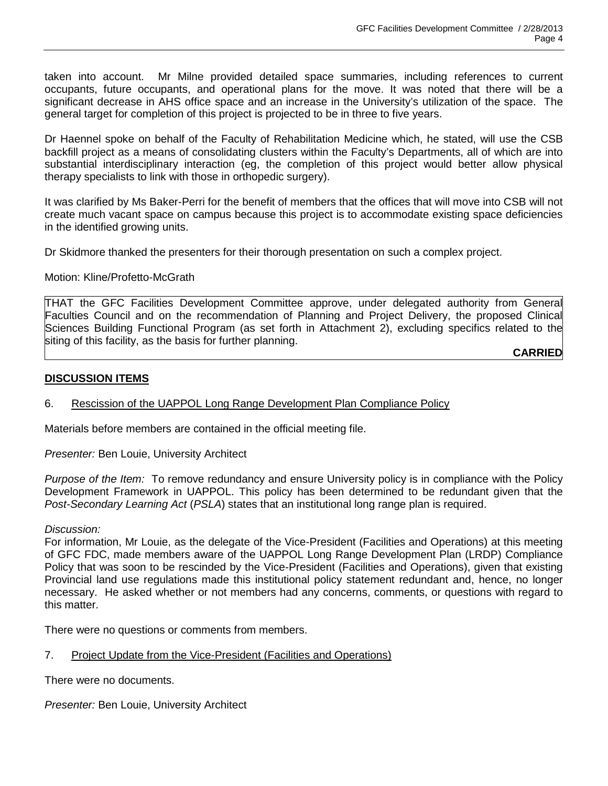taken into account. Mr Milne provided detailed space summaries, including references to current occupants, future occupants, and operational plans for the move. It was noted that there will be a significant decrease in AHS office space and an increase in the University's utilization of the space. The general target for completion of this project is projected to be in three to five years.

Dr Haennel spoke on behalf of the Faculty of Rehabilitation Medicine which, he stated, will use the CSB backfill project as a means of consolidating clusters within the Faculty's Departments, all of which are into substantial interdisciplinary interaction (eg, the completion of this project would better allow physical therapy specialists to link with those in orthopedic surgery).

It was clarified by Ms Baker-Perri for the benefit of members that the offices that will move into CSB will not create much vacant space on campus because this project is to accommodate existing space deficiencies in the identified growing units.

Dr Skidmore thanked the presenters for their thorough presentation on such a complex project.

Motion: Kline/Profetto-McGrath

THAT the GFC Facilities Development Committee approve, under delegated authority from General Faculties Council and on the recommendation of Planning and Project Delivery, the proposed Clinical Sciences Building Functional Program (as set forth in Attachment 2), excluding specifics related to the siting of this facility, as the basis for further planning.

**CARRIED** 

## **DISCUSSION ITEMS**

## 6. Rescission of the UAPPOL Long Range Development Plan Compliance Policy

Materials before members are contained in the official meeting file.

*Presenter:* Ben Louie, University Architect

*Purpose of the Item:* To remove redundancy and ensure University policy is in compliance with the Policy Development Framework in UAPPOL. This policy has been determined to be redundant given that the *Post-Secondary Learning Act* (*PSLA*) states that an institutional long range plan is required.

#### *Discussion:*

For information, Mr Louie, as the delegate of the Vice-President (Facilities and Operations) at this meeting of GFC FDC, made members aware of the UAPPOL Long Range Development Plan (LRDP) Compliance Policy that was soon to be rescinded by the Vice-President (Facilities and Operations), given that existing Provincial land use regulations made this institutional policy statement redundant and, hence, no longer necessary. He asked whether or not members had any concerns, comments, or questions with regard to this matter.

There were no questions or comments from members.

7. Project Update from the Vice-President (Facilities and Operations)

There were no documents.

*Presenter:* Ben Louie, University Architect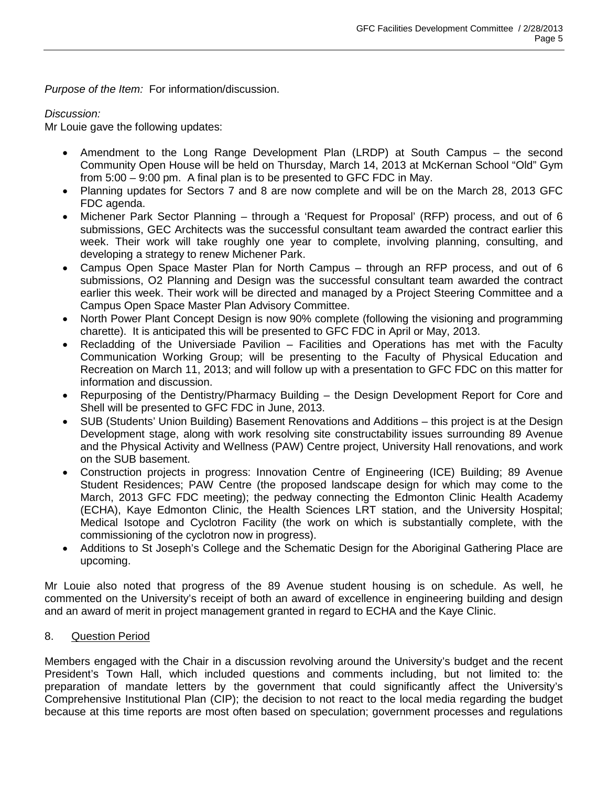*Purpose of the Item:* For information/discussion.

## *Discussion:*

Mr Louie gave the following updates:

- Amendment to the Long Range Development Plan (LRDP) at South Campus the second Community Open House will be held on Thursday, March 14, 2013 at McKernan School "Old" Gym from 5:00 – 9:00 pm. A final plan is to be presented to GFC FDC in May.
- Planning updates for Sectors 7 and 8 are now complete and will be on the March 28, 2013 GFC FDC agenda.
- Michener Park Sector Planning through a 'Request for Proposal' (RFP) process, and out of 6 submissions, GEC Architects was the successful consultant team awarded the contract earlier this week. Their work will take roughly one year to complete, involving planning, consulting, and developing a strategy to renew Michener Park.
- Campus Open Space Master Plan for North Campus through an RFP process, and out of 6 submissions, O2 Planning and Design was the successful consultant team awarded the contract earlier this week. Their work will be directed and managed by a Project Steering Committee and a Campus Open Space Master Plan Advisory Committee.
- North Power Plant Concept Design is now 90% complete (following the visioning and programming charette). It is anticipated this will be presented to GFC FDC in April or May, 2013.
- Recladding of the Universiade Pavilion Facilities and Operations has met with the Faculty Communication Working Group; will be presenting to the Faculty of Physical Education and Recreation on March 11, 2013; and will follow up with a presentation to GFC FDC on this matter for information and discussion.
- Repurposing of the Dentistry/Pharmacy Building the Design Development Report for Core and Shell will be presented to GFC FDC in June, 2013.
- SUB (Students' Union Building) Basement Renovations and Additions this project is at the Design Development stage, along with work resolving site constructability issues surrounding 89 Avenue and the Physical Activity and Wellness (PAW) Centre project, University Hall renovations, and work on the SUB basement.
- Construction projects in progress: Innovation Centre of Engineering (ICE) Building; 89 Avenue Student Residences; PAW Centre (the proposed landscape design for which may come to the March, 2013 GFC FDC meeting); the pedway connecting the Edmonton Clinic Health Academy (ECHA), Kaye Edmonton Clinic, the Health Sciences LRT station, and the University Hospital; Medical Isotope and Cyclotron Facility (the work on which is substantially complete, with the commissioning of the cyclotron now in progress).
- Additions to St Joseph's College and the Schematic Design for the Aboriginal Gathering Place are upcoming.

Mr Louie also noted that progress of the 89 Avenue student housing is on schedule. As well, he commented on the University's receipt of both an award of excellence in engineering building and design and an award of merit in project management granted in regard to ECHA and the Kaye Clinic.

# 8. Question Period

Members engaged with the Chair in a discussion revolving around the University's budget and the recent President's Town Hall, which included questions and comments including, but not limited to: the preparation of mandate letters by the government that could significantly affect the University's Comprehensive Institutional Plan (CIP); the decision to not react to the local media regarding the budget because at this time reports are most often based on speculation; government processes and regulations